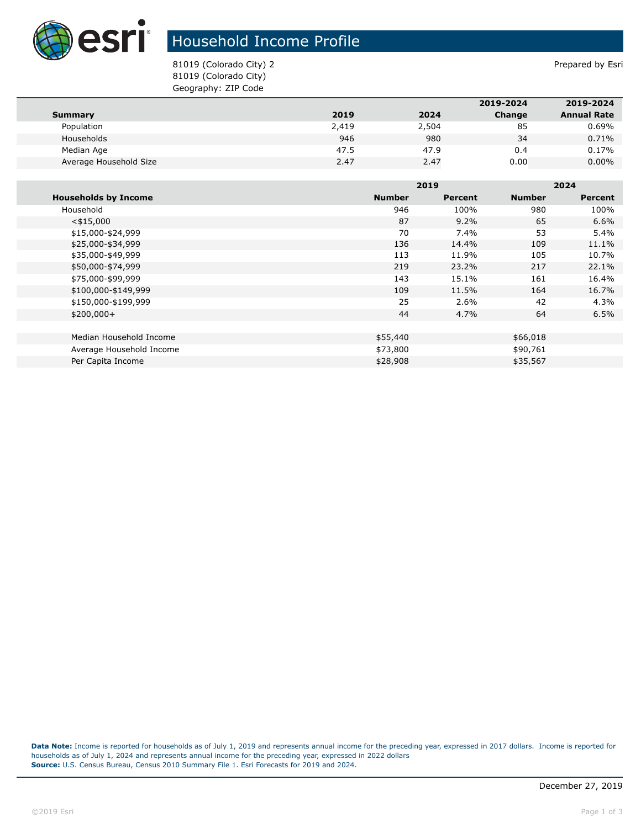

## Household Income Profile

81019 (Colorado City) 2 and 31019 (Colorado City) 2 81019 (Colorado City) Geography: ZIP Code

|                        |       |       | 2019-2024 | 2019-2024          |
|------------------------|-------|-------|-----------|--------------------|
| Summary                | 2019  | 2024  | Change    | <b>Annual Rate</b> |
| Population             | 2,419 | 2,504 | 85        | 0.69%              |
| Households             | 946   | 980   | 34        | 0.71%              |
| Median Age             | 47.5  | 47.9  | 0.4       | 0.17%              |
| Average Household Size | 2.47  | 2.47  | 0.00      | $0.00\%$           |

|                             |               | 2019    |               | 2024    |  |
|-----------------------------|---------------|---------|---------------|---------|--|
| <b>Households by Income</b> | <b>Number</b> | Percent | <b>Number</b> | Percent |  |
| Household                   | 946           | 100%    | 980           | 100%    |  |
| $<$ \$15,000                | 87            | $9.2\%$ | 65            | 6.6%    |  |
| \$15,000-\$24,999           | 70            | 7.4%    | 53            | 5.4%    |  |
| \$25,000-\$34,999           | 136           | 14.4%   | 109           | 11.1%   |  |
| \$35,000-\$49,999           | 113           | 11.9%   | 105           | 10.7%   |  |
| \$50,000-\$74,999           | 219           | 23.2%   | 217           | 22.1%   |  |
| \$75,000-\$99,999           | 143           | 15.1%   | 161           | 16.4%   |  |
| \$100,000-\$149,999         | 109           | 11.5%   | 164           | 16.7%   |  |
| \$150,000-\$199,999         | 25            | 2.6%    | 42            | 4.3%    |  |
| $$200,000+$                 | 44            | 4.7%    | 64            | 6.5%    |  |
|                             |               |         |               |         |  |
| Median Household Income     | \$55,440      |         | \$66,018      |         |  |
| Average Household Income    | \$73,800      |         | \$90,761      |         |  |
| Per Capita Income           | \$28,908      |         | \$35,567      |         |  |

**Data Note:** Income is reported for households as of July 1, 2019 and represents annual income for the preceding year, expressed in 2017 dollars. Income is reported for households as of July 1, 2024 and represents annual income for the preceding year, expressed in 2022 dollars **Source:** U.S. Census Bureau, Census 2010 Summary File 1. Esri Forecasts for 2019 and 2024.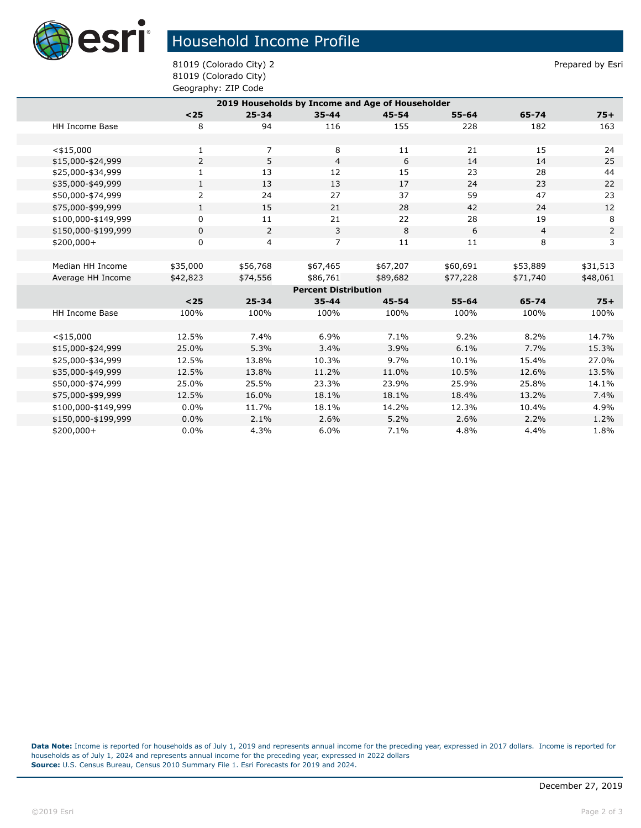

## Household Income Profile

81019 (Colorado City) 2 and 31019 (Colorado City) 2 81019 (Colorado City) Geography: ZIP Code

| 2019 Households by Income and Age of Householder |                       |                |                |                |           |           |                |                |  |
|--------------------------------------------------|-----------------------|----------------|----------------|----------------|-----------|-----------|----------------|----------------|--|
|                                                  |                       | $25$           | $25 - 34$      | $35 - 44$      | $45 - 54$ | $55 - 64$ | 65-74          | $75+$          |  |
|                                                  | <b>HH Income Base</b> | 8              | 94             | 116            | 155       | 228       | 182            | 163            |  |
|                                                  |                       |                |                |                |           |           |                |                |  |
|                                                  | $<$ \$15,000          | 1              | 7              | 8              | 11        | 21        | 15             | 24             |  |
|                                                  | \$15,000-\$24,999     | $\overline{2}$ | 5              | $\overline{4}$ | 6         | 14        | 14             | 25             |  |
|                                                  | \$25,000-\$34,999     | $\mathbf{1}$   | 13             | 12             | 15        | 23        | 28             | 44             |  |
|                                                  | \$35,000-\$49,999     | $\mathbf{1}$   | 13             | 13             | 17        | 24        | 23             | 22             |  |
|                                                  | \$50,000-\$74,999     | $\overline{2}$ | 24             | 27             | 37        | 59        | 47             | 23             |  |
|                                                  | \$75,000-\$99,999     | $\mathbf{1}$   | 15             | 21             | 28        | 42        | 24             | 12             |  |
|                                                  | \$100,000-\$149,999   | 0              | 11             | 21             | 22        | 28        | 19             | 8              |  |
|                                                  | \$150,000-\$199,999   | 0              | $\overline{2}$ | 3              | 8         | 6         | $\overline{4}$ | $\overline{2}$ |  |
|                                                  | \$200,000+            | 0              | 4              | $\overline{7}$ | 11        | 11        | 8              | 3              |  |
|                                                  |                       |                |                |                |           |           |                |                |  |
|                                                  | Median HH Income      | \$35,000       | \$56,768       | \$67,465       | \$67,207  | \$60,691  | \$53,889       | \$31,513       |  |
|                                                  | Average HH Income     | \$42,823       | \$74,556       | \$86,761       | \$89,682  | \$77,228  | \$71,740       | \$48,061       |  |
| <b>Percent Distribution</b>                      |                       |                |                |                |           |           |                |                |  |
|                                                  |                       | $25$           | $25 - 34$      | $35 - 44$      | $45 - 54$ | $55 - 64$ | 65-74          | $75+$          |  |
|                                                  | <b>HH Income Base</b> | 100%           | 100%           | 100%           | 100%      | 100%      | 100%           | 100%           |  |
|                                                  |                       |                |                |                |           |           |                |                |  |
|                                                  | $<$ \$15,000          | 12.5%          | 7.4%           | 6.9%           | 7.1%      | 9.2%      | 8.2%           | 14.7%          |  |
|                                                  | \$15,000-\$24,999     | 25.0%          | 5.3%           | 3.4%           | 3.9%      | 6.1%      | 7.7%           | 15.3%          |  |
|                                                  | \$25,000-\$34,999     | 12.5%          | 13.8%          | 10.3%          | 9.7%      | 10.1%     | 15.4%          | 27.0%          |  |
|                                                  | \$35,000-\$49,999     | 12.5%          | 13.8%          | 11.2%          | 11.0%     | 10.5%     | 12.6%          | 13.5%          |  |
|                                                  | \$50,000-\$74,999     | 25.0%          | 25.5%          | 23.3%          | 23.9%     | 25.9%     | 25.8%          | 14.1%          |  |
|                                                  | \$75,000-\$99,999     | 12.5%          | 16.0%          | 18.1%          | 18.1%     | 18.4%     | 13.2%          | 7.4%           |  |
|                                                  | \$100,000-\$149,999   | 0.0%           | 11.7%          | 18.1%          | 14.2%     | 12.3%     | 10.4%          | 4.9%           |  |
|                                                  | \$150,000-\$199,999   | 0.0%           | 2.1%           | 2.6%           | 5.2%      | 2.6%      | 2.2%           | 1.2%           |  |
|                                                  | \$200,000+            | 0.0%           | 4.3%           | 6.0%           | 7.1%      | 4.8%      | 4.4%           | 1.8%           |  |

**Data Note:** Income is reported for households as of July 1, 2019 and represents annual income for the preceding year, expressed in 2017 dollars. Income is reported for households as of July 1, 2024 and represents annual income for the preceding year, expressed in 2022 dollars **Source:** U.S. Census Bureau, Census 2010 Summary File 1. Esri Forecasts for 2019 and 2024.